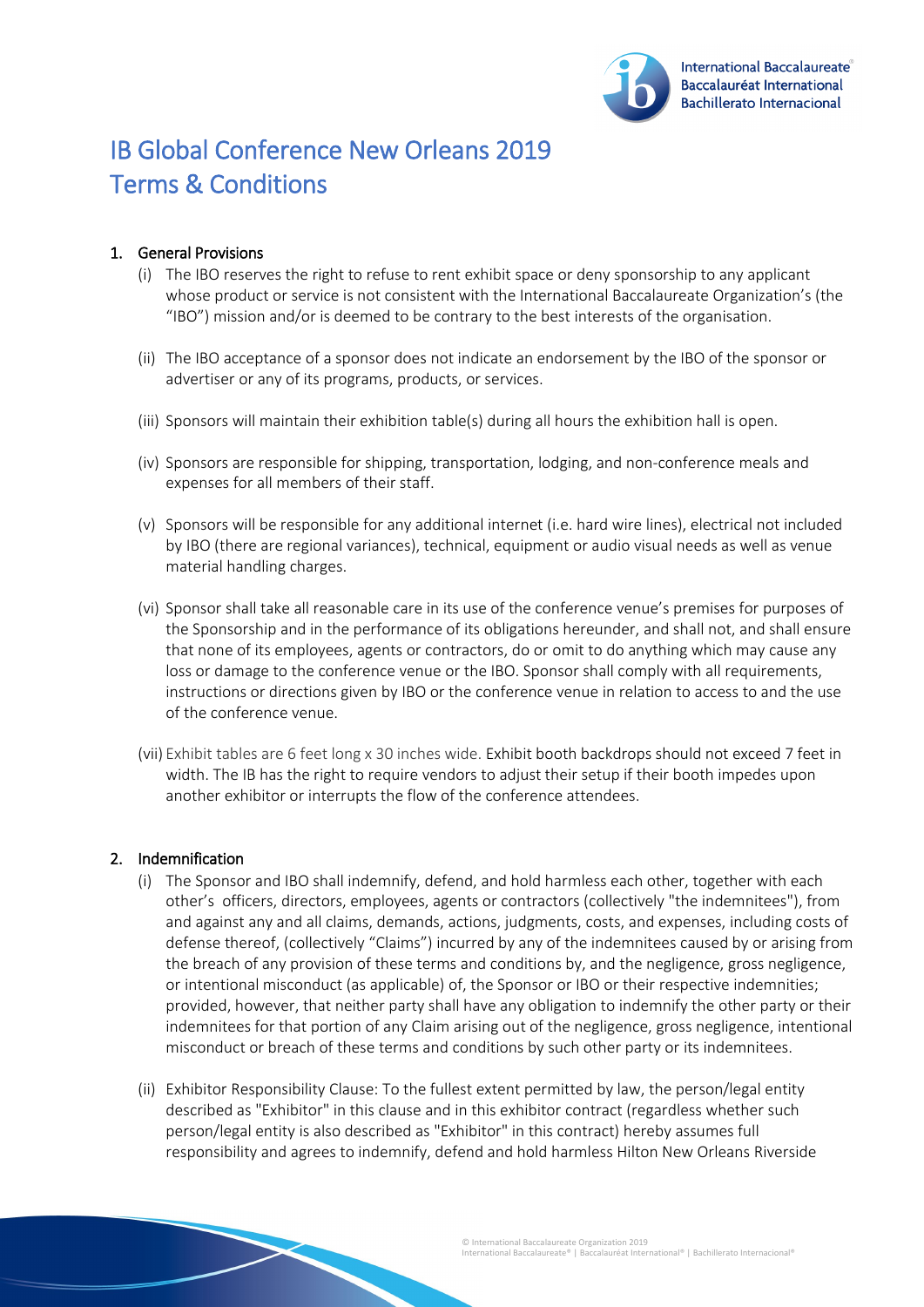

# IB Global Conference New Orleans 2019 Terms & Conditions

#### 1. General Provisions

- (i) The IBO reserves the right to refuse to rent exhibit space or deny sponsorship to any applicant whose product or service is not consistent with the International Baccalaureate Organization's (the "IBO") mission and/or is deemed to be contrary to the best interests of the organisation.
- (ii) The IBO acceptance of a sponsor does not indicate an endorsement by the IBO of the sponsor or advertiser or any of its programs, products, or services.
- (iii) Sponsors will maintain their exhibition table(s) during all hours the exhibition hall is open.
- (iv) Sponsors are responsible for shipping, transportation, lodging, and non-conference meals and expenses for all members of their staff.
- (v) Sponsors will be responsible for any additional internet (i.e. hard wire lines), electrical not included by IBO (there are regional variances), technical, equipment or audio visual needs as well as venue material handling charges.
- (vi) Sponsor shall take all reasonable care in its use of the conference venue's premises for purposes of the Sponsorship and in the performance of its obligations hereunder, and shall not, and shall ensure that none of its employees, agents or contractors, do or omit to do anything which may cause any loss or damage to the conference venue or the IBO. Sponsor shall comply with all requirements, instructions or directions given by IBO or the conference venue in relation to access to and the use of the conference venue.
- (vii) Exhibit tables are 6 feet long x 30 inches wide. Exhibit booth backdrops should not exceed 7 feet in width. The IB has the right to require vendors to adjust their setup if their booth impedes upon another exhibitor or interrupts the flow of the conference attendees.

#### 2. Indemnification

- (i) The Sponsor and IBO shall indemnify, defend, and hold harmless each other, together with each other's officers, directors, employees, agents or contractors (collectively "the indemnitees"), from and against any and all claims, demands, actions, judgments, costs, and expenses, including costs of defense thereof, (collectively "Claims") incurred by any of the indemnitees caused by or arising from the breach of any provision of these terms and conditions by, and the negligence, gross negligence, or intentional misconduct (as applicable) of, the Sponsor or IBO or their respective indemnities; provided, however, that neither party shall have any obligation to indemnify the other party or their indemnitees for that portion of any Claim arising out of the negligence, gross negligence, intentional misconduct or breach of these terms and conditions by such other party or its indemnitees.
- (ii) Exhibitor Responsibility Clause: To the fullest extent permitted by law, the person/legal entity described as "Exhibitor" in this clause and in this exhibitor contract (regardless whether such person/legal entity is also described as "Exhibitor" in this contract) hereby assumes full responsibility and agrees to indemnify, defend and hold harmless Hilton New Orleans Riverside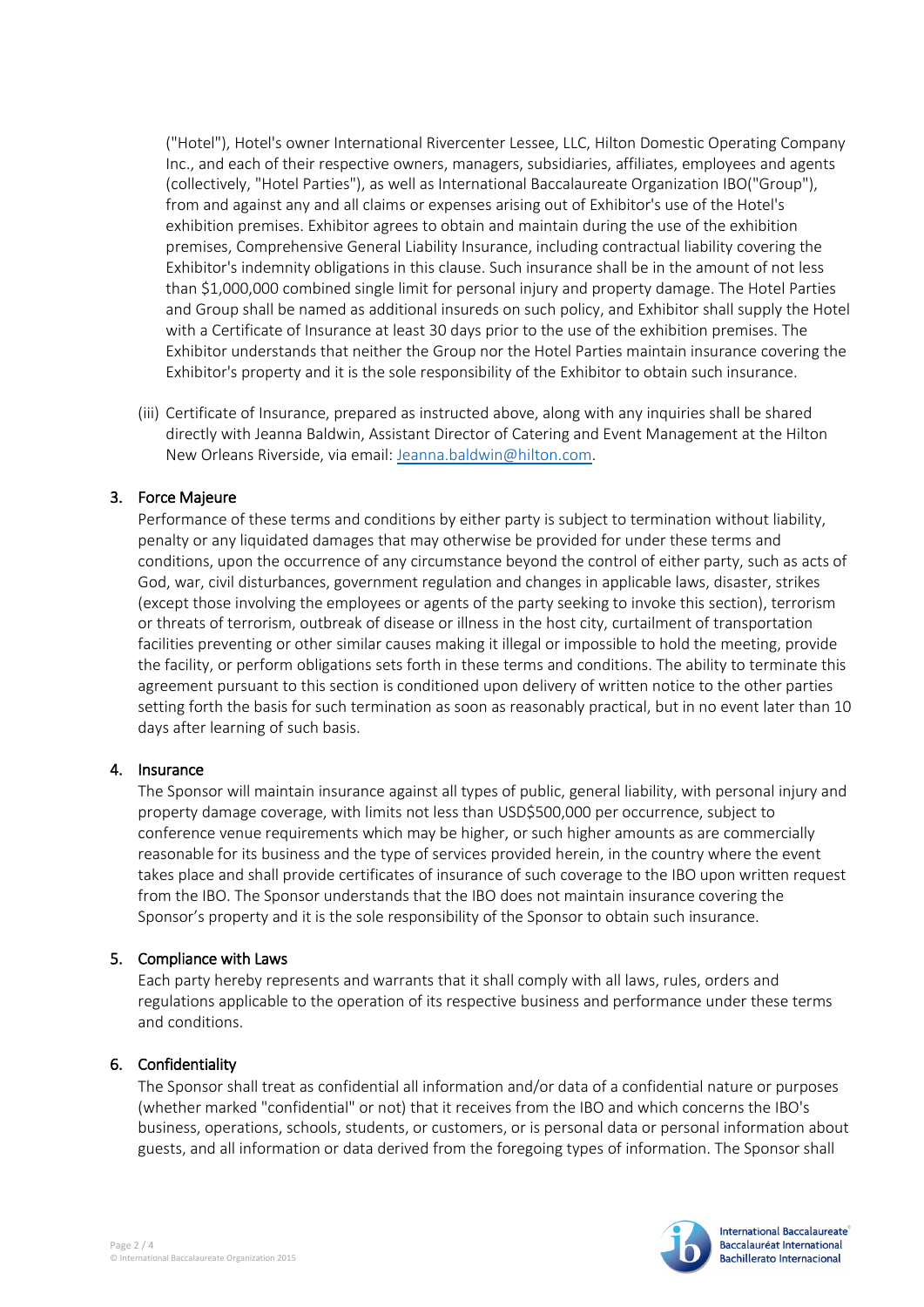("Hotel"), Hotel's owner International Rivercenter Lessee, LLC, Hilton Domestic Operating Company Inc., and each of their respective owners, managers, subsidiaries, affiliates, employees and agents (collectively, "Hotel Parties"), as well as International Baccalaureate Organization IBO("Group"), from and against any and all claims or expenses arising out of Exhibitor's use of the Hotel's exhibition premises. Exhibitor agrees to obtain and maintain during the use of the exhibition premises, Comprehensive General Liability Insurance, including contractual liability covering the Exhibitor's indemnity obligations in this clause. Such insurance shall be in the amount of not less than \$1,000,000 combined single limit for personal injury and property damage. The Hotel Parties and Group shall be named as additional insureds on such policy, and Exhibitor shall supply the Hotel with a Certificate of Insurance at least 30 days prior to the use of the exhibition premises. The Exhibitor understands that neither the Group nor the Hotel Parties maintain insurance covering the Exhibitor's property and it is the sole responsibility of the Exhibitor to obtain such insurance.

(iii) Certificate of Insurance, prepared as instructed above, along with any inquiries shall be shared directly with Jeanna Baldwin, Assistant Director of Catering and Event Management at the Hilton New Orleans Riverside, via email: [Jeanna.baldwin@hilton.com.](mailto:Jeanna.baldwin@hilton.com)

### 3. Force Majeure

Performance of these terms and conditions by either party is subject to termination without liability, penalty or any liquidated damages that may otherwise be provided for under these terms and conditions, upon the occurrence of any circumstance beyond the control of either party, such as acts of God, war, civil disturbances, government regulation and changes in applicable laws, disaster, strikes (except those involving the employees or agents of the party seeking to invoke this section), terrorism or threats of terrorism, outbreak of disease or illness in the host city, curtailment of transportation facilities preventing or other similar causes making it illegal or impossible to hold the meeting, provide the facility, or perform obligations sets forth in these terms and conditions. The ability to terminate this agreement pursuant to this section is conditioned upon delivery of written notice to the other parties setting forth the basis for such termination as soon as reasonably practical, but in no event later than 10 days after learning of such basis.

### 4. Insurance

The Sponsor will maintain insurance against all types of public, general liability, with personal injury and property damage coverage, with limits not less than USD\$500,000 per occurrence, subject to conference venue requirements which may be higher, or such higher amounts as are commercially reasonable for its business and the type of services provided herein, in the country where the event takes place and shall provide certificates of insurance of such coverage to the IBO upon written request from the IBO. The Sponsor understands that the IBO does not maintain insurance covering the Sponsor's property and it is the sole responsibility of the Sponsor to obtain such insurance.

### 5. Compliance with Laws

Each party hereby represents and warrants that it shall comply with all laws, rules, orders and regulations applicable to the operation of its respective business and performance under these terms and conditions.

## 6. Confidentiality

The Sponsor shall treat as confidential all information and/or data of a confidential nature or purposes (whether marked "confidential" or not) that it receives from the IBO and which concerns the IBO's business, operations, schools, students, or customers, or is personal data or personal information about guests, and all information or data derived from the foregoing types of information. The Sponsor shall

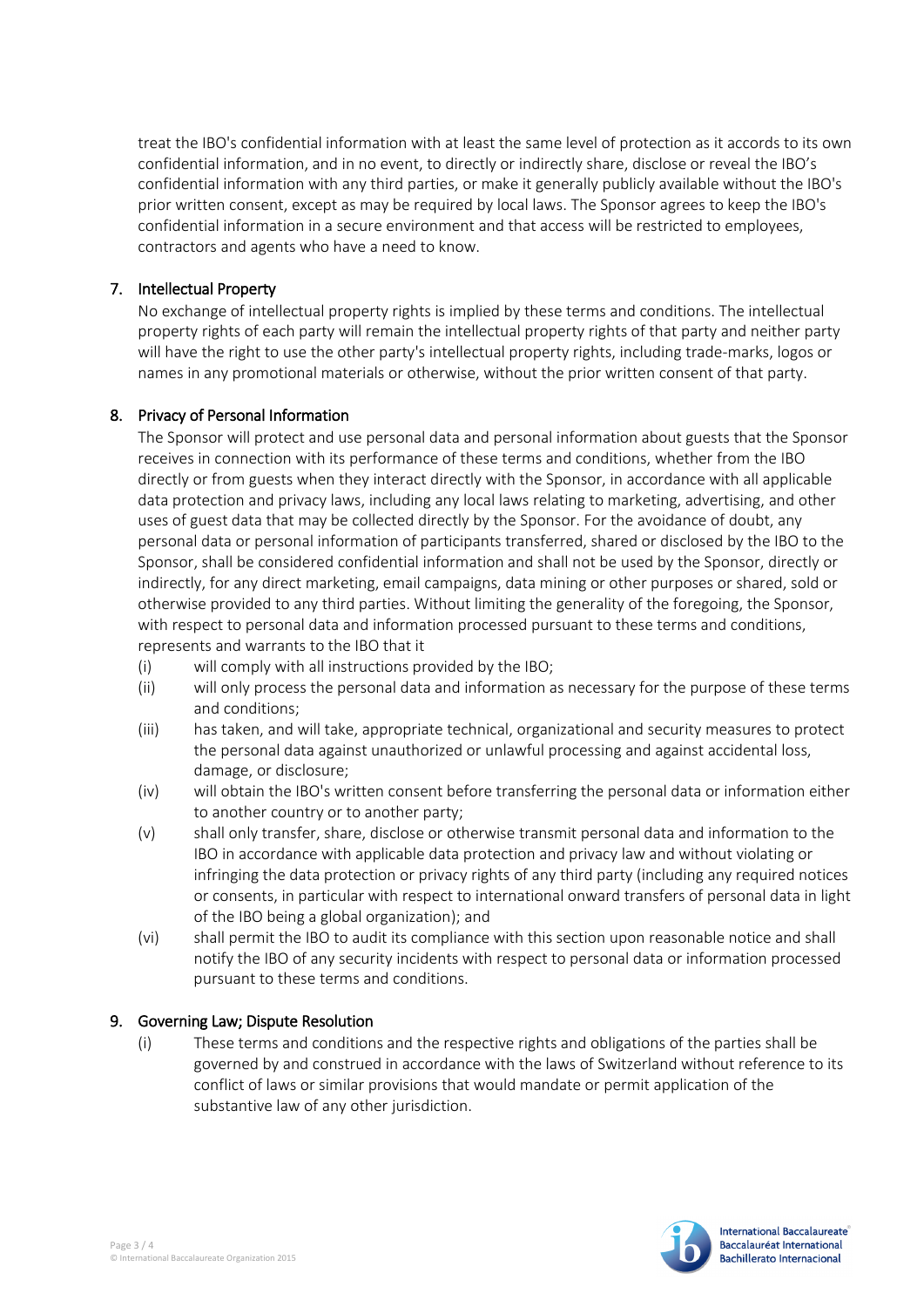treat the IBO's confidential information with at least the same level of protection as it accords to its own confidential information, and in no event, to directly or indirectly share, disclose or reveal the IBO's confidential information with any third parties, or make it generally publicly available without the IBO's prior written consent, except as may be required by local laws. The Sponsor agrees to keep the IBO's confidential information in a secure environment and that access will be restricted to employees, contractors and agents who have a need to know.

### 7. Intellectual Property

No exchange of intellectual property rights is implied by these terms and conditions. The intellectual property rights of each party will remain the intellectual property rights of that party and neither party will have the right to use the other party's intellectual property rights, including trade-marks, logos or names in any promotional materials or otherwise, without the prior written consent of that party.

### 8. Privacy of Personal Information

The Sponsor will protect and use personal data and personal information about guests that the Sponsor receives in connection with its performance of these terms and conditions, whether from the IBO directly or from guests when they interact directly with the Sponsor, in accordance with all applicable data protection and privacy laws, including any local laws relating to marketing, advertising, and other uses of guest data that may be collected directly by the Sponsor. For the avoidance of doubt, any personal data or personal information of participants transferred, shared or disclosed by the IBO to the Sponsor, shall be considered confidential information and shall not be used by the Sponsor, directly or indirectly, for any direct marketing, email campaigns, data mining or other purposes or shared, sold or otherwise provided to any third parties. Without limiting the generality of the foregoing, the Sponsor, with respect to personal data and information processed pursuant to these terms and conditions, represents and warrants to the IBO that it

- (i) will comply with all instructions provided by the IBO;
- (ii) will only process the personal data and information as necessary for the purpose of these terms and conditions;
- (iii) has taken, and will take, appropriate technical, organizational and security measures to protect the personal data against unauthorized or unlawful processing and against accidental loss, damage, or disclosure;
- (iv) will obtain the IBO's written consent before transferring the personal data or information either to another country or to another party;
- (v) shall only transfer, share, disclose or otherwise transmit personal data and information to the IBO in accordance with applicable data protection and privacy law and without violating or infringing the data protection or privacy rights of any third party (including any required notices or consents, in particular with respect to international onward transfers of personal data in light of the IBO being a global organization); and
- (vi) shall permit the IBO to audit its compliance with this section upon reasonable notice and shall notify the IBO of any security incidents with respect to personal data or information processed pursuant to these terms and conditions.

### 9. Governing Law; Dispute Resolution

(i) These terms and conditions and the respective rights and obligations of the parties shall be governed by and construed in accordance with the laws of Switzerland without reference to its conflict of laws or similar provisions that would mandate or permit application of the substantive law of any other jurisdiction.